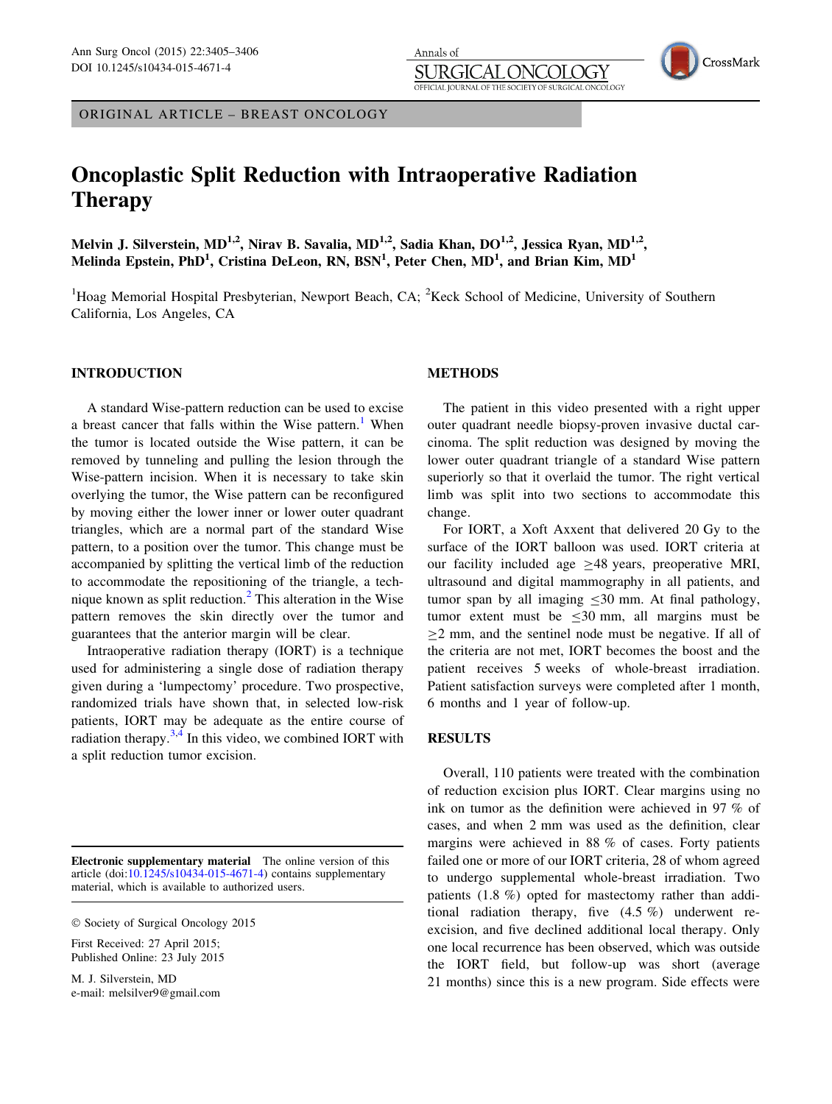ORIGINAL ARTICLE – BREAST ONCOLOGY

# Oncoplastic Split Reduction with Intraoperative Radiation Therapy

Melvin J. Silverstein, MD<sup>1,2</sup>, Nirav B. Savalia, MD<sup>1,2</sup>, Sadia Khan, DO<sup>1,2</sup>, Jessica Ryan, MD<sup>1,2</sup>, Melinda Epstein, PhD<sup>1</sup>, Cristina DeLeon, RN, BSN<sup>1</sup>, Peter Chen, MD<sup>1</sup>, and Brian Kim, MD<sup>1</sup>

<sup>1</sup>Hoag Memorial Hospital Presbyterian, Newport Beach, CA; <sup>2</sup>Keck School of Medicine, University of Southern California, Los Angeles, CA

# INTRODUCTION

A standard Wise-pattern reduction can be used to excise a breast cancer that falls within the Wise pattern.<sup>[1](#page-1-0)</sup> When the tumor is located outside the Wise pattern, it can be removed by tunneling and pulling the lesion through the Wise-pattern incision. When it is necessary to take skin overlying the tumor, the Wise pattern can be reconfigured by moving either the lower inner or lower outer quadrant triangles, which are a normal part of the standard Wise pattern, to a position over the tumor. This change must be accompanied by splitting the vertical limb of the reduction to accommodate the repositioning of the triangle, a technique known as split reduction. $<sup>2</sup>$  $<sup>2</sup>$  $<sup>2</sup>$  This alteration in the Wise</sup> pattern removes the skin directly over the tumor and guarantees that the anterior margin will be clear.

Intraoperative radiation therapy (IORT) is a technique used for administering a single dose of radiation therapy given during a 'lumpectomy' procedure. Two prospective, randomized trials have shown that, in selected low-risk patients, IORT may be adequate as the entire course of radiation therapy. $3,4$  In this video, we combined IORT with a split reduction tumor excision.

Electronic supplementary material The online version of this article (doi:[10.1245/s10434-015-4671-4\)](http://dx.doi.org/10.1245/s10434-015-4671-4) contains supplementary material, which is available to authorized users.

First Received: 27 April 2015; Published Online: 23 July 2015

M. J. Silverstein, MD e-mail: melsilver9@gmail.com

# METHODS

Annals of

JRGI

OFFICIAL IOURNAL OF THE SOCIETY OF

The patient in this video presented with a right upper outer quadrant needle biopsy-proven invasive ductal carcinoma. The split reduction was designed by moving the lower outer quadrant triangle of a standard Wise pattern superiorly so that it overlaid the tumor. The right vertical limb was split into two sections to accommodate this change.

OGY SURGICAL ONCOLOGY CrossMark

For IORT, a Xoft Axxent that delivered 20 Gy to the surface of the IORT balloon was used. IORT criteria at our facility included age  $>48$  years, preoperative MRI, ultrasound and digital mammography in all patients, and tumor span by all imaging  $\leq 30$  mm. At final pathology, tumor extent must be  $\leq 30$  mm, all margins must be  $>2$  mm, and the sentinel node must be negative. If all of the criteria are not met, IORT becomes the boost and the patient receives 5 weeks of whole-breast irradiation. Patient satisfaction surveys were completed after 1 month, 6 months and 1 year of follow-up.

### **RESULTS**

Overall, 110 patients were treated with the combination of reduction excision plus IORT. Clear margins using no ink on tumor as the definition were achieved in 97 % of cases, and when 2 mm was used as the definition, clear margins were achieved in 88 % of cases. Forty patients failed one or more of our IORT criteria, 28 of whom agreed to undergo supplemental whole-breast irradiation. Two patients (1.8 %) opted for mastectomy rather than additional radiation therapy, five (4.5 %) underwent reexcision, and five declined additional local therapy. Only one local recurrence has been observed, which was outside the IORT field, but follow-up was short (average 21 months) since this is a new program. Side effects were

 $©$  Society of Surgical Oncology 2015